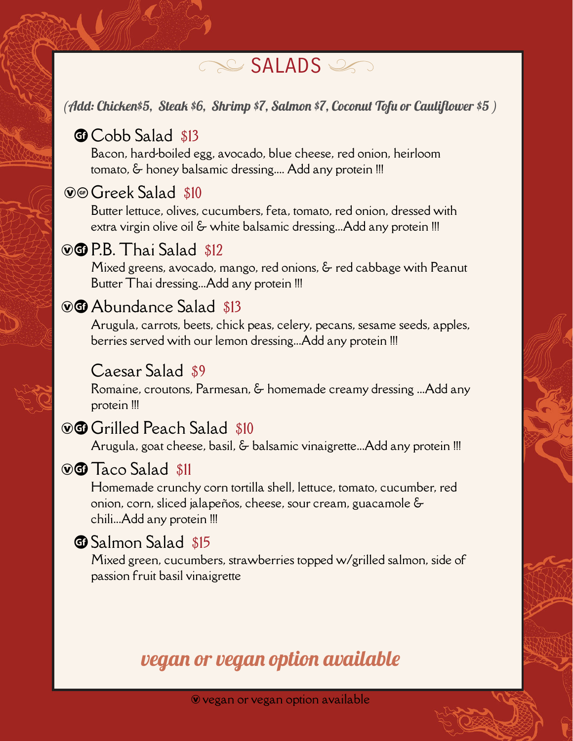# SALADS

#### (Add: Chicken\$5, Steak \$6, Shrimp \$7, Salmon \$7, Coconut Tofu or Cauliflower \$5 )

### **T** Cobb Salad \$13

Bacon, hard-boiled egg, avocado, blue cheese, red onion, heirloom tomato, & honey balsamic dressing.... Add any protein !!!

### **WG** Greek Salad \$10

Butter lettuce, olives, cucumbers, feta, tomato, red onion, dressed with extra virgin olive oil & white balsamic dressing...Add any protein !!!

# $\circ$   $\circ$  P.B. Thai Salad \$12

Mixed greens, avocado, mango, red onions, & red cabbage with Peanut Butter Thai dressing...Add any protein !!!

# **WG** Abundance Salad \$13

Arugula, carrots, beets, chick peas, celery, pecans, sesame seeds, apples, berries served with our lemon dressing...Add any protein !!!

#### Caesar Salad \$9

Romaine, croutons, Parmesan, & homemade creamy dressing ...Add any protein !!!

# **WG** Grilled Peach Salad \$10

Arugula, goat cheese, basil, & balsamic vinaigrette...Add any protein !!!

# $\circ$   $\circ$  Taco Salad  $\frac{11}{2}$

Homemade crunchy corn tortilla shell, lettuce, tomato, cucumber, red onion, corn, sliced jalapeños, cheese, sour cream, guacamole & chili...Add any protein !!!

# **1** Salmon Salad \$15

Mixed green, cucumbers, strawberries topped w/grilled salmon, side of passion fruit basil vinaigrette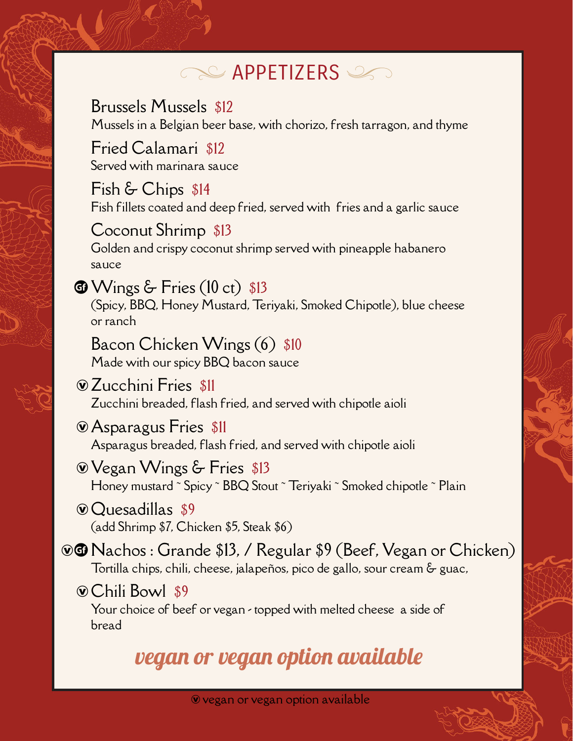# **APPETIZERS**

Brussels Mussels \$12 Mussels in a Belgian beer base, with chorizo, fresh tarragon, and thyme

Fried Calamari \$12 Served with marinara sauce

Fish & Chips \$14 Fish fillets coated and deep fried, served with fries and a garlic sauce

Coconut Shrimp \$13 Golden and crispy coconut shrimp served with pineapple habanero sauce

 $\bigcirc$  Wings & Fries (10 ct) \$13 (Spicy, BBQ, Honey Mustard, Teriyaki, Smoked Chipotle), blue cheese or ranch

Bacon Chicken Wings (6) \$10 Made with our spicy BBQ bacon sauce

ÆZucchini Fries \$11 Zucchini breaded, flash fried, and served with chipotle aioli

ÆAsparagus Fries \$11 Asparagus breaded, flash fried, and served with chipotle aioli

ÆVegan Wings & Fries \$13 Honey mustard ~ Spicy ~ BBQ Stout ~ Teriyaki ~ Smoked chipotle ~ Plain

ÆQuesadillas \$9 (add Shrimp \$7, Chicken \$5, Steak \$6)

**EG** Nachos: Grande \$13, / Regular \$9 (Beef, Vegan or Chicken) Tortilla chips, chili, cheese, jalapeños, pico de gallo, sour cream & guac,

ÆChili Bowl \$9

Your choice of beef or vegan - topped with melted cheese a side of bread

vegan or vegan option available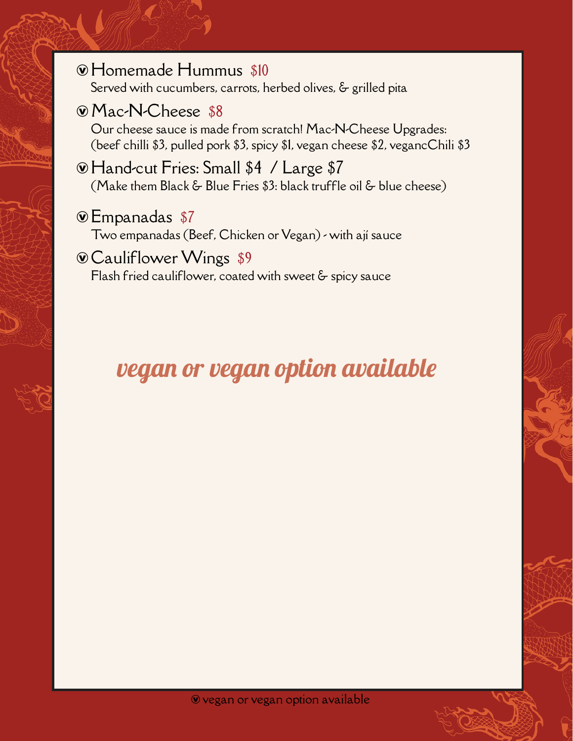- ÆHomemade Hummus \$10 Served with cucumbers, carrots, herbed olives, & grilled pita
- ÆMac-N-Cheese \$8

Our cheese sauce is made from scratch! Mac-N-Cheese Upgrades: (beef chilli \$3, pulled pork \$3, spicy \$1, vegan cheese \$2, vegancChili \$3

- ÆHand-cut Fries: Small \$4 / Large \$7 (Make them Black & Blue Fries \$3: black truffle oil & blue cheese)
- ÆEmpanadas \$7

Two empanadas (Beef, Chicken or Vegan) - with ají sauce

#### CauliflowerWings \$9 Flash fried cauliflower, coated with sweet & spicy sauce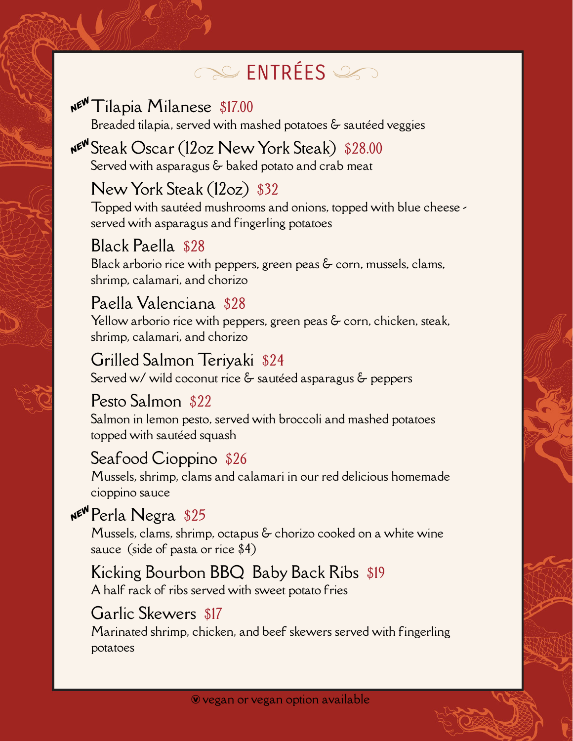# ENTRÉES

# ATilapia Milanese \$17.00

Breaded tilapia, served with mashed potatoes & sautéed veggies

### ASteak Oscar (12oz New York Steak) \$28.00 Served with asparagus & baked potato and crab meat

### New York Steak (12oz) \$32

Topped with sautéed mushrooms and onions, topped with blue cheese served with asparagus and fingerling potatoes

### Black Paella \$28

Black arborio rice with peppers, green peas & corn, mussels, clams, shrimp, calamari, and chorizo

### Paella Valenciana \$28

Yellow arborio rice with peppers, green peas & corn, chicken, steak, shrimp, calamari, and chorizo

#### Grilled Salmon Teriyaki \$24

Served w/ wild coconut rice & sautéed asparagus & peppers

### Pesto Salmon \$22

Salmon in lemon pesto, served with broccoli and mashed potatoes topped with sautéed squash

### Seafood Cioppino \$26

Mussels, shrimp, clams and calamari in our red delicious homemade cioppino sauce

# APerla Negra \$25

Mussels, clams, shrimp, octapus & chorizo cooked on a white wine sauce (side of pasta or rice \$4)

### Kicking Bourbon BBQ Baby Back Ribs \$19

A half rack of ribs served with sweet potato fries

### Garlic Skewers \$17

Marinated shrimp, chicken, and beef skewers served with fingerling potatoes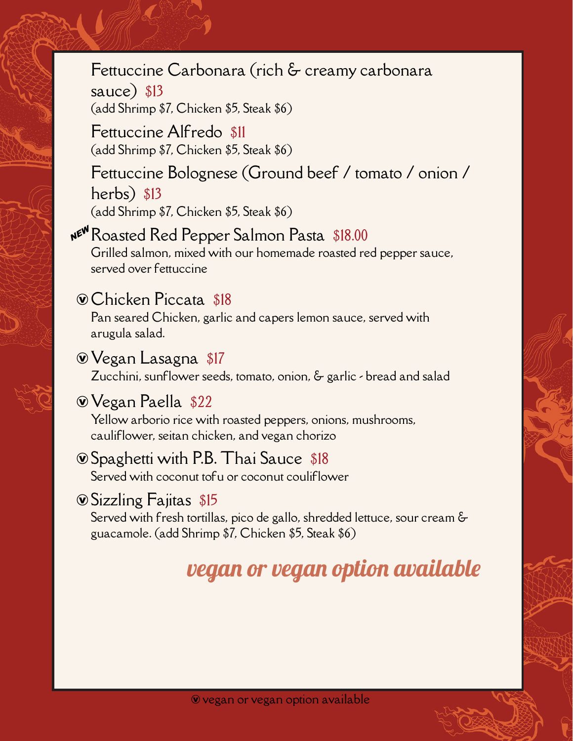# Fettuccine Carbonara (rich & creamy carbonara

sauce) \$13 (add Shrimp \$7, Chicken \$5, Steak \$6)

Fettuccine Alfredo \$11 (add Shrimp \$7, Chicken \$5, Steak \$6)

# Fettuccine Bolognese (Ground beef / tomato / onion / herbs) \$13 (add Shrimp \$7, Chicken \$5, Steak \$6)

# **NE<sup>W</sup>** Roasted Red Pepper Salmon Pasta \$18.00

Grilled salmon, mixed with our homemade roasted red pepper sauce, served over fettuccine

### ÆChicken Piccata \$18

Pan seared Chicken, garlic and capers lemon sauce, served with arugula salad.

### ÆVegan Lasagna \$17

Zucchini, sunflower seeds, tomato, onion, & garlic - bread and salad

# ÆVegan Paella \$22

Yellow arborio rice with roasted peppers, onions, mushrooms, cauliflower, seitan chicken, and vegan chorizo

# $\circ$  Spaghetti with P.B. Thai Sauce \$18

Served with coconut tofu or coconut couliflower

# ÆSizzling Fajitas \$15

Served with fresh tortillas, pico de gallo, shredded lettuce, sour cream & guacamole. (add Shrimp \$7, Chicken \$5, Steak \$6)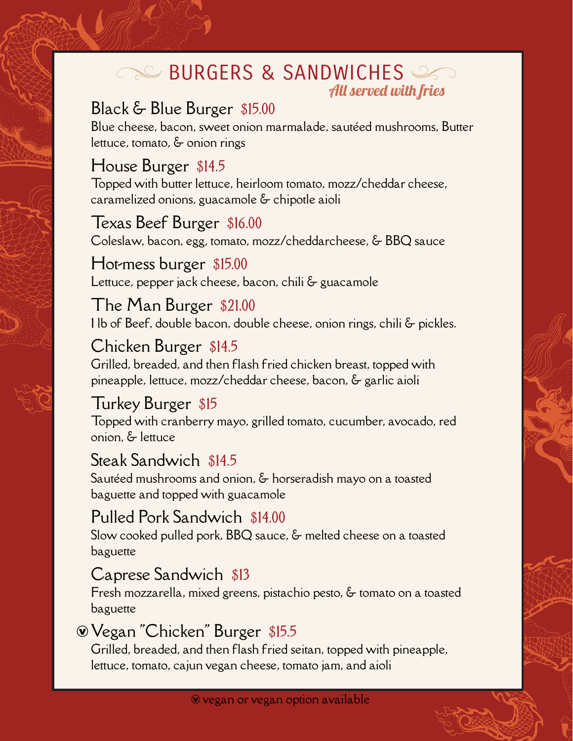### **BURGERS & SANDWICHES** All served with fries

# Black & Blue Burger \$15.00

Blue cheese, bacon, sweet onion marmalade, sautéed mushrooms, Butter lettuce, tomato, & onion rings

# House Burger \$14.5

Topped with butter lettuce, heirloom tomato, mozz/cheddar cheese, caramelized onions, guacamole & chipotle aioli

### Texas Beef Burger \$16.00

Coleslaw, bacon, egg, tomato, mozz/cheddarcheese, & BBQ sauce

# Hot-mess burger \$15.00

Lettuce, pepper jack cheese, bacon, chili & guacamole

### The Man Burger \$21.00 1 lb of Beef, double bacon, double cheese, onion rings, chili & pickles.

Chicken Burger \$14.5 Grilled, breaded, and then flash fried chicken breast, topped with pineapple, lettuce, mozz/cheddar cheese, bacon, & garlic aioli

# Turkey Burger \$15

Topped with cranberry mayo, grilled tomato, cucumber, avocado, red onion, & lettuce

# Steak Sandwich \$14.5

Sautéed mushrooms and onion, & horseradish mayo on a toasted baguette and topped with guacamole

# Pulled Pork Sandwich \$14.00

Slow cooked pulled pork, BBQ sauce, & melted cheese on a toasted baguette

# Caprese Sandwich \$13

Fresh mozzarella, mixed greens, pistachio pesto, & tomato on a toasted baguette

# ÆVegan "Chicken" Burger \$15.5

Grilled, breaded, and then flash fried seitan, topped with pineapple, lettuce, tomato, cajun vegan cheese, tomato jam, and aioli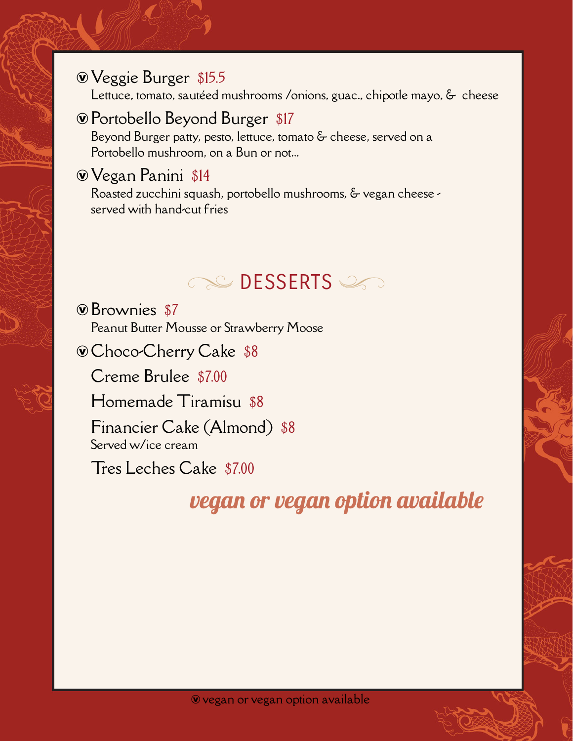### ÆVeggie Burger \$15.5

Lettuce, tomato, sautéed mushrooms /onions, guac., chipotle mayo, & cheese

# ÆPortobello Beyond Burger \$17

Beyond Burger patty, pesto, lettuce, tomato & cheese, served on a Portobello mushroom, on a Bun or not...

# ÆVegan Panini \$14

Roasted zucchini squash, portobello mushrooms, & vegan cheese served with hand-cut fries

# **DESSERTS**

ÆBrownies \$7 Peanut Butter Mousse or Strawberry Moose

ÆChoco-Cherry Cake \$8

Creme Brulee \$7.00

Homemade Tiramisu \$8

Financier Cake (Almond) \$8 Served w/ice cream

Tres Leches Cake \$7.00